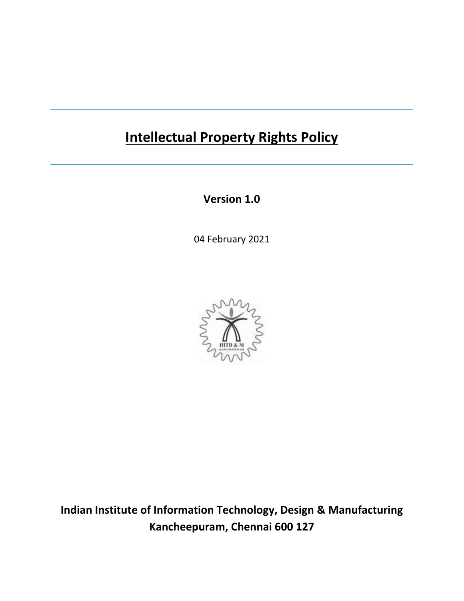# **Intellectual Property Rights Policy**

**Version 1.0**

04 February 2021



**Indian Institute of Information Technology, Design & Manufacturing Kancheepuram, Chennai 600 127**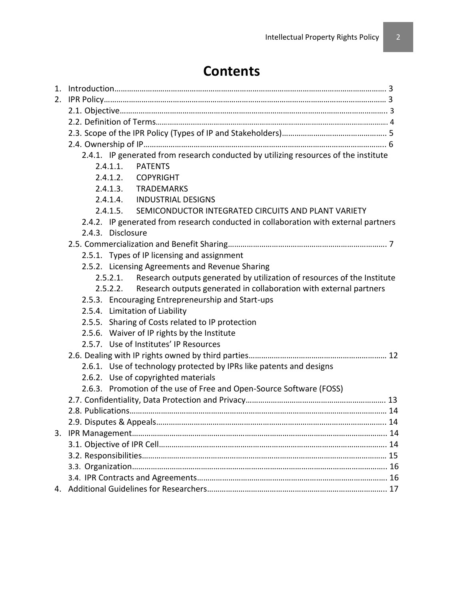# **Contents**

| 1. |                                                                                     |  |  |  |  |  |
|----|-------------------------------------------------------------------------------------|--|--|--|--|--|
| 2. |                                                                                     |  |  |  |  |  |
|    |                                                                                     |  |  |  |  |  |
|    |                                                                                     |  |  |  |  |  |
|    |                                                                                     |  |  |  |  |  |
|    |                                                                                     |  |  |  |  |  |
|    | 2.4.1. IP generated from research conducted by utilizing resources of the institute |  |  |  |  |  |
|    | 2.4.1.1.<br><b>PATENTS</b>                                                          |  |  |  |  |  |
|    | 2.4.1.2. COPYRIGHT                                                                  |  |  |  |  |  |
|    | 2.4.1.3. TRADEMARKS                                                                 |  |  |  |  |  |
|    | 2.4.1.4. INDUSTRIAL DESIGNS                                                         |  |  |  |  |  |
|    | 2.4.1.5. SEMICONDUCTOR INTEGRATED CIRCUITS AND PLANT VARIETY                        |  |  |  |  |  |
|    | 2.4.2. IP generated from research conducted in collaboration with external partners |  |  |  |  |  |
|    | 2.4.3. Disclosure                                                                   |  |  |  |  |  |
|    |                                                                                     |  |  |  |  |  |
|    | 2.5.1. Types of IP licensing and assignment                                         |  |  |  |  |  |
|    | 2.5.2. Licensing Agreements and Revenue Sharing                                     |  |  |  |  |  |
|    | Research outputs generated by utilization of resources of the Institute<br>2.5.2.1. |  |  |  |  |  |
|    | Research outputs generated in collaboration with external partners<br>2.5.2.2.      |  |  |  |  |  |
|    | 2.5.3. Encouraging Entrepreneurship and Start-ups                                   |  |  |  |  |  |
|    | 2.5.4. Limitation of Liability                                                      |  |  |  |  |  |
|    | 2.5.5. Sharing of Costs related to IP protection                                    |  |  |  |  |  |
|    | 2.5.6. Waiver of IP rights by the Institute                                         |  |  |  |  |  |
|    | 2.5.7. Use of Institutes' IP Resources                                              |  |  |  |  |  |
|    |                                                                                     |  |  |  |  |  |
|    | 2.6.1. Use of technology protected by IPRs like patents and designs                 |  |  |  |  |  |
|    | 2.6.2. Use of copyrighted materials                                                 |  |  |  |  |  |
|    | 2.6.3. Promotion of the use of Free and Open-Source Software (FOSS)                 |  |  |  |  |  |
|    |                                                                                     |  |  |  |  |  |
|    |                                                                                     |  |  |  |  |  |
|    | 2.9. Disputes & Appeals<br>14                                                       |  |  |  |  |  |
|    |                                                                                     |  |  |  |  |  |
|    |                                                                                     |  |  |  |  |  |
|    |                                                                                     |  |  |  |  |  |
|    |                                                                                     |  |  |  |  |  |
|    |                                                                                     |  |  |  |  |  |
|    |                                                                                     |  |  |  |  |  |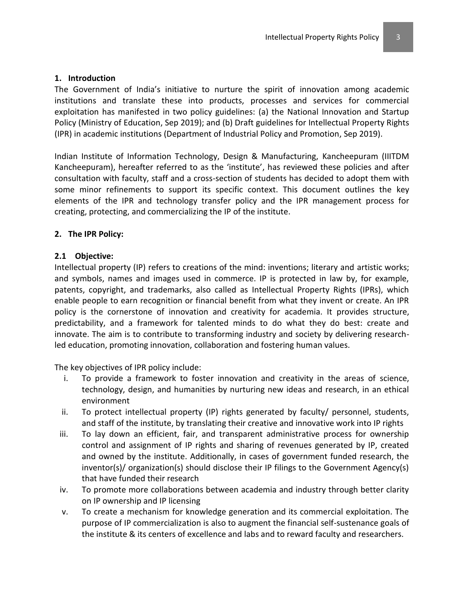The Government of India's initiative to nurture the spirit of innovation among academic institutions and translate these into products, processes and services for commercial exploitation has manifested in two policy guidelines: (a) the National Innovation and Startup Policy (Ministry of Education, Sep 2019); and (b) Draft guidelines for Intellectual Property Rights (IPR) in academic institutions (Department of Industrial Policy and Promotion, Sep 2019).

Indian Institute of Information Technology, Design & Manufacturing, Kancheepuram (IIITDM Kancheepuram), hereafter referred to as the 'institute', has reviewed these policies and after consultation with faculty, staff and a cross-section of students has decided to adopt them with some minor refinements to support its specific context. This document outlines the key elements of the IPR and technology transfer policy and the IPR management process for creating, protecting, and commercializing the IP of the institute.

### **2. The IPR Policy:**

### **2.1 Objective:**

Intellectual property (IP) refers to creations of the mind: inventions; literary and artistic works; and symbols, names and images used in commerce. IP is protected in law by, for example, patents, copyright, and trademarks, also called as Intellectual Property Rights (IPRs), which enable people to earn recognition or financial benefit from what they invent or create. An IPR policy is the cornerstone of innovation and creativity for academia. It provides structure, predictability, and a framework for talented minds to do what they do best: create and innovate. The aim is to contribute to transforming industry and society by delivering researchled education, promoting innovation, collaboration and fostering human values.

The key objectives of IPR policy include:

- i. To provide a framework to foster innovation and creativity in the areas of science, technology, design, and humanities by nurturing new ideas and research, in an ethical environment
- ii. To protect intellectual property (IP) rights generated by faculty/ personnel, students, and staff of the institute, by translating their creative and innovative work into IP rights
- iii. To lay down an efficient, fair, and transparent administrative process for ownership control and assignment of IP rights and sharing of revenues generated by IP, created and owned by the institute. Additionally, in cases of government funded research, the inventor(s)/ organization(s) should disclose their IP filings to the Government Agency(s) that have funded their research
- iv. To promote more collaborations between academia and industry through better clarity on IP ownership and IP licensing
- v. To create a mechanism for knowledge generation and its commercial exploitation. The purpose of IP commercialization is also to augment the financial self-sustenance goals of the institute & its centers of excellence and labs and to reward faculty and researchers.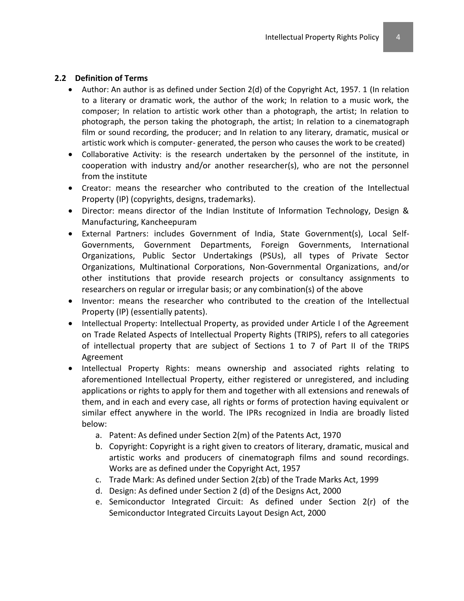#### **2.2 Definition of Terms**

- Author: An author is as defined under Section 2(d) of the Copyright Act, 1957. 1 (In relation to a literary or dramatic work, the author of the work; In relation to a music work, the composer; In relation to artistic work other than a photograph, the artist; In relation to photograph, the person taking the photograph, the artist; In relation to a cinematograph film or sound recording, the producer; and In relation to any literary, dramatic, musical or artistic work which is computer- generated, the person who causes the work to be created)
- Collaborative Activity: is the research undertaken by the personnel of the institute, in cooperation with industry and/or another researcher(s), who are not the personnel from the institute
- Creator: means the researcher who contributed to the creation of the Intellectual Property (IP) (copyrights, designs, trademarks).
- Director: means director of the Indian Institute of Information Technology, Design & Manufacturing, Kancheepuram
- External Partners: includes Government of India, State Government(s), Local Self-Governments, Government Departments, Foreign Governments, International Organizations, Public Sector Undertakings (PSUs), all types of Private Sector Organizations, Multinational Corporations, Non-Governmental Organizations, and/or other institutions that provide research projects or consultancy assignments to researchers on regular or irregular basis; or any combination(s) of the above
- Inventor: means the researcher who contributed to the creation of the Intellectual Property (IP) (essentially patents).
- Intellectual Property: Intellectual Property, as provided under Article I of the Agreement on Trade Related Aspects of Intellectual Property Rights (TRIPS), refers to all categories of intellectual property that are subject of Sections 1 to 7 of Part II of the TRIPS Agreement
- Intellectual Property Rights: means ownership and associated rights relating to aforementioned Intellectual Property, either registered or unregistered, and including applications or rights to apply for them and together with all extensions and renewals of them, and in each and every case, all rights or forms of protection having equivalent or similar effect anywhere in the world. The IPRs recognized in India are broadly listed below:
	- a. Patent: As defined under Section 2(m) of the Patents Act, 1970
	- b. Copyright: Copyright is a right given to creators of literary, dramatic, musical and artistic works and producers of cinematograph films and sound recordings. Works are as defined under the Copyright Act, 1957
	- c. Trade Mark: As defined under Section 2(zb) of the Trade Marks Act, 1999
	- d. Design: As defined under Section 2 (d) of the Designs Act, 2000
	- e. Semiconductor Integrated Circuit: As defined under Section 2(r) of the Semiconductor Integrated Circuits Layout Design Act, 2000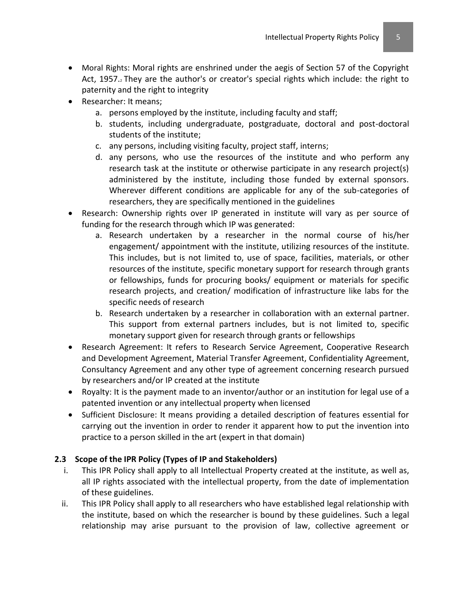- Moral Rights: Moral rights are enshrined under the aegis of Section 57 of the Copyright Act, 1957. They are the author's or creator's special rights which include: the right to paternity and the right to integrity
- Researcher: It means;
	- a. persons employed by the institute, including faculty and staff;
	- b. students, including undergraduate, postgraduate, doctoral and post-doctoral students of the institute;
	- c. any persons, including visiting faculty, project staff, interns;
	- d. any persons, who use the resources of the institute and who perform any research task at the institute or otherwise participate in any research project(s) administered by the institute, including those funded by external sponsors. Wherever different conditions are applicable for any of the sub-categories of researchers, they are specifically mentioned in the guidelines
- Research: Ownership rights over IP generated in institute will vary as per source of funding for the research through which IP was generated:
	- a. Research undertaken by a researcher in the normal course of his/her engagement/ appointment with the institute, utilizing resources of the institute. This includes, but is not limited to, use of space, facilities, materials, or other resources of the institute, specific monetary support for research through grants or fellowships, funds for procuring books/ equipment or materials for specific research projects, and creation/ modification of infrastructure like labs for the specific needs of research
	- b. Research undertaken by a researcher in collaboration with an external partner. This support from external partners includes, but is not limited to, specific monetary support given for research through grants or fellowships
- Research Agreement: It refers to Research Service Agreement, Cooperative Research and Development Agreement, Material Transfer Agreement, Confidentiality Agreement, Consultancy Agreement and any other type of agreement concerning research pursued by researchers and/or IP created at the institute
- Royalty: It is the payment made to an inventor/author or an institution for legal use of a patented invention or any intellectual property when licensed
- Sufficient Disclosure: It means providing a detailed description of features essential for carrying out the invention in order to render it apparent how to put the invention into practice to a person skilled in the art (expert in that domain)

# **2.3 Scope of the IPR Policy (Types of IP and Stakeholders)**

- i. This IPR Policy shall apply to all Intellectual Property created at the institute, as well as, all IP rights associated with the intellectual property, from the date of implementation of these guidelines.
- ii. This IPR Policy shall apply to all researchers who have established legal relationship with the institute, based on which the researcher is bound by these guidelines. Such a legal relationship may arise pursuant to the provision of law, collective agreement or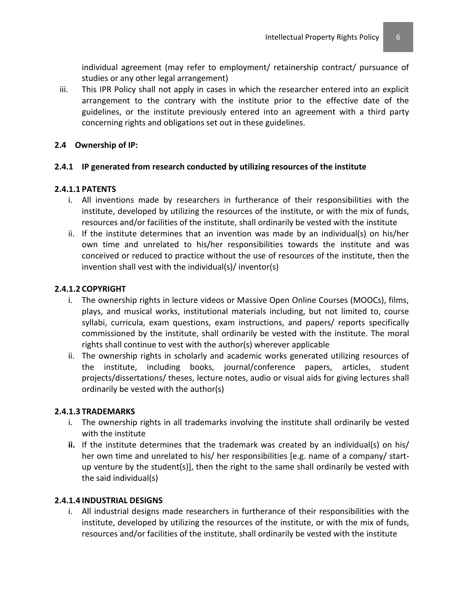individual agreement (may refer to employment/ retainership contract/ pursuance of studies or any other legal arrangement)

iii. This IPR Policy shall not apply in cases in which the researcher entered into an explicit arrangement to the contrary with the institute prior to the effective date of the guidelines, or the institute previously entered into an agreement with a third party concerning rights and obligations set out in these guidelines.

### **2.4 Ownership of IP:**

### **2.4.1 IP generated from research conducted by utilizing resources of the institute**

#### **2.4.1.1 PATENTS**

- i. All inventions made by researchers in furtherance of their responsibilities with the institute, developed by utilizing the resources of the institute, or with the mix of funds, resources and/or facilities of the institute, shall ordinarily be vested with the institute
- ii. If the institute determines that an invention was made by an individual(s) on his/her own time and unrelated to his/her responsibilities towards the institute and was conceived or reduced to practice without the use of resources of the institute, then the invention shall vest with the individual(s)/ inventor(s)

### **2.4.1.2 COPYRIGHT**

- i. The ownership rights in lecture videos or Massive Open Online Courses (MOOCs), films, plays, and musical works, institutional materials including, but not limited to, course syllabi, curricula, exam questions, exam instructions, and papers/ reports specifically commissioned by the institute, shall ordinarily be vested with the institute. The moral rights shall continue to vest with the author(s) wherever applicable
- ii. The ownership rights in scholarly and academic works generated utilizing resources of the institute, including books, journal/conference papers, articles, student projects/dissertations/ theses, lecture notes, audio or visual aids for giving lectures shall ordinarily be vested with the author(s)

#### **2.4.1.3 TRADEMARKS**

- i. The ownership rights in all trademarks involving the institute shall ordinarily be vested with the institute
- **ii.** If the institute determines that the trademark was created by an individual(s) on his/ her own time and unrelated to his/ her responsibilities [e.g. name of a company/ startup venture by the student(s)], then the right to the same shall ordinarily be vested with the said individual(s)

#### **2.4.1.4 INDUSTRIAL DESIGNS**

i. All industrial designs made researchers in furtherance of their responsibilities with the institute, developed by utilizing the resources of the institute, or with the mix of funds, resources and/or facilities of the institute, shall ordinarily be vested with the institute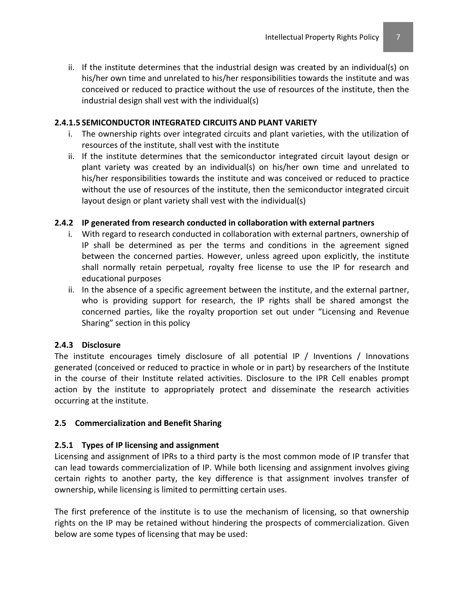ii. If the institute determines that the industrial design was created by an individual(s) on his/her own time and unrelated to his/her responsibilities towards the institute and was conceived or reduced to practice without the use of resources of the institute, then the industrial design shall vest with the individual(s)

#### **2.4.1.5 SEMICONDUCTOR INTEGRATED CIRCUITS AND PLANT VARIETY**

- i. The ownership rights over integrated circuits and plant varieties, with the utilization of resources of the institute, shall vest with the institute
- ii. If the institute determines that the semiconductor integrated circuit layout design or plant variety was created by an individual(s) on his/her own time and unrelated to his/her responsibilities towards the institute and was conceived or reduced to practice without the use of resources of the institute, then the semiconductor integrated circuit layout design or plant variety shall vest with the individual(s)

#### **2.4.2 IP generated from research conducted in collaboration with external partners**

- i. With regard to research conducted in collaboration with external partners, ownership of IP shall be determined as per the terms and conditions in the agreement signed between the concerned parties. However, unless agreed upon explicitly, the institute shall normally retain perpetual, royalty free license to use the IP for research and educational purposes
- ii. In the absence of a specific agreement between the institute, and the external partner, who is providing support for research, the IP rights shall be shared amongst the concerned parties, like the royalty proportion set out under "Licensing and Revenue Sharing" section in this policy

#### **2.4.3 Disclosure**

The institute encourages timely disclosure of all potential IP / Inventions / Innovations generated (conceived or reduced to practice in whole or in part) by researchers of the Institute in the course of their Institute related activities. Disclosure to the IPR Cell enables prompt action by the institute to appropriately protect and disseminate the research activities occurring at the institute.

#### **2.5 Commercialization and Benefit Sharing**

#### **2.5.1 Types of IP licensing and assignment**

Licensing and assignment of IPRs to a third party is the most common mode of IP transfer that can lead towards commercialization of IP. While both licensing and assignment involves giving certain rights to another party, the key difference is that assignment involves transfer of ownership, while licensing is limited to permitting certain uses.

The first preference of the institute is to use the mechanism of licensing, so that ownership rights on the IP may be retained without hindering the prospects of commercialization. Given below are some types of licensing that may be used: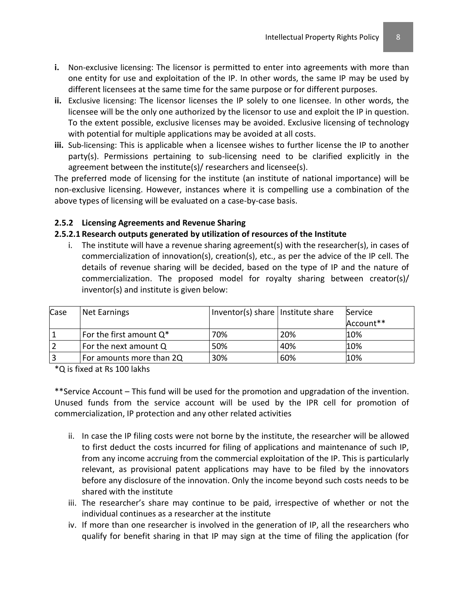- **i.** Non-exclusive licensing: The licensor is permitted to enter into agreements with more than one entity for use and exploitation of the IP. In other words, the same IP may be used by different licensees at the same time for the same purpose or for different purposes.
- **ii.** Exclusive licensing: The licensor licenses the IP solely to one licensee. In other words, the licensee will be the only one authorized by the licensor to use and exploit the IP in question. To the extent possible, exclusive licenses may be avoided. Exclusive licensing of technology with potential for multiple applications may be avoided at all costs.
- **iii.** Sub-licensing: This is applicable when a licensee wishes to further license the IP to another party(s). Permissions pertaining to sub-licensing need to be clarified explicitly in the agreement between the institute(s)/ researchers and licensee(s).

The preferred mode of licensing for the institute (an institute of national importance) will be non-exclusive licensing. However, instances where it is compelling use a combination of the above types of licensing will be evaluated on a case-by-case basis.

### **2.5.2 Licensing Agreements and Revenue Sharing**

### **2.5.2.1 Research outputs generated by utilization of resources of the Institute**

i. The institute will have a revenue sharing agreement(s) with the researcher(s), in cases of commercialization of innovation(s), creation(s), etc., as per the advice of the IP cell. The details of revenue sharing will be decided, based on the type of IP and the nature of commercialization. The proposed model for royalty sharing between creator(s)/ inventor(s) and institute is given below:

| Case           | Net Earnings               | Inventor(s) share Institute share |     | Service<br>Account** |
|----------------|----------------------------|-----------------------------------|-----|----------------------|
| $\mathbf{1}$   | For the first amount $Q^*$ | 70%                               | 20% | 10%                  |
| $\overline{2}$ | For the next amount Q      | 50%                               | 40% | 10%                  |
| $\overline{3}$ | For amounts more than 2Q   | 30%                               | 60% | 10%                  |

\*Q is fixed at Rs 100 lakhs

\*\*Service Account – This fund will be used for the promotion and upgradation of the invention. Unused funds from the service account will be used by the IPR cell for promotion of commercialization, IP protection and any other related activities

- ii. In case the IP filing costs were not borne by the institute, the researcher will be allowed to first deduct the costs incurred for filing of applications and maintenance of such IP, from any income accruing from the commercial exploitation of the IP. This is particularly relevant, as provisional patent applications may have to be filed by the innovators before any disclosure of the innovation. Only the income beyond such costs needs to be shared with the institute
- iii. The researcher's share may continue to be paid, irrespective of whether or not the individual continues as a researcher at the institute
- iv. If more than one researcher is involved in the generation of IP, all the researchers who qualify for benefit sharing in that IP may sign at the time of filing the application (for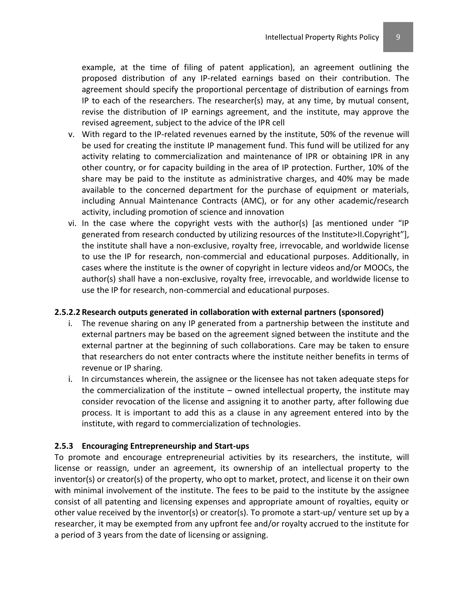example, at the time of filing of patent application), an agreement outlining the proposed distribution of any IP-related earnings based on their contribution. The agreement should specify the proportional percentage of distribution of earnings from IP to each of the researchers. The researcher(s) may, at any time, by mutual consent, revise the distribution of IP earnings agreement, and the institute, may approve the revised agreement, subject to the advice of the IPR cell

- v. With regard to the IP-related revenues earned by the institute, 50% of the revenue will be used for creating the institute IP management fund. This fund will be utilized for any activity relating to commercialization and maintenance of IPR or obtaining IPR in any other country, or for capacity building in the area of IP protection. Further, 10% of the share may be paid to the institute as administrative charges, and 40% may be made available to the concerned department for the purchase of equipment or materials, including Annual Maintenance Contracts (AMC), or for any other academic/research activity, including promotion of science and innovation
- vi. In the case where the copyright vests with the author(s) [as mentioned under "IP generated from research conducted by utilizing resources of the Institute>II.Copyright"], the institute shall have a non-exclusive, royalty free, irrevocable, and worldwide license to use the IP for research, non-commercial and educational purposes. Additionally, in cases where the institute is the owner of copyright in lecture videos and/or MOOCs, the author(s) shall have a non-exclusive, royalty free, irrevocable, and worldwide license to use the IP for research, non-commercial and educational purposes.

#### **2.5.2.2 Research outputs generated in collaboration with external partners (sponsored)**

- i. The revenue sharing on any IP generated from a partnership between the institute and external partners may be based on the agreement signed between the institute and the external partner at the beginning of such collaborations. Care may be taken to ensure that researchers do not enter contracts where the institute neither benefits in terms of revenue or IP sharing.
- i. In circumstances wherein, the assignee or the licensee has not taken adequate steps for the commercialization of the institute – owned intellectual property, the institute may consider revocation of the license and assigning it to another party, after following due process. It is important to add this as a clause in any agreement entered into by the institute, with regard to commercialization of technologies.

#### **2.5.3 Encouraging Entrepreneurship and Start-ups**

To promote and encourage entrepreneurial activities by its researchers, the institute, will license or reassign, under an agreement, its ownership of an intellectual property to the inventor(s) or creator(s) of the property, who opt to market, protect, and license it on their own with minimal involvement of the institute. The fees to be paid to the institute by the assignee consist of all patenting and licensing expenses and appropriate amount of royalties, equity or other value received by the inventor(s) or creator(s). To promote a start-up/ venture set up by a researcher, it may be exempted from any upfront fee and/or royalty accrued to the institute for a period of 3 years from the date of licensing or assigning.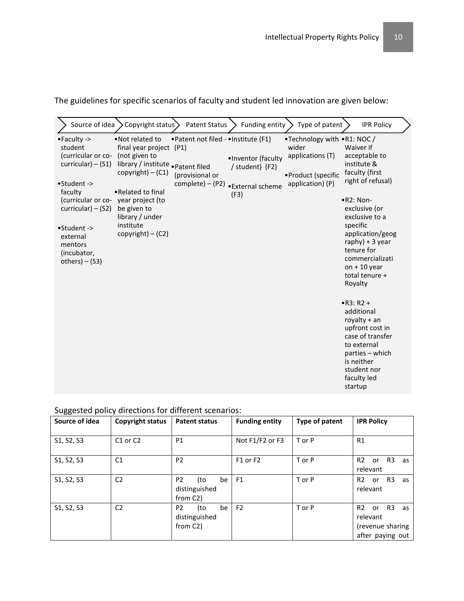| Source of idea                                                                                                                                                                                  | Copyright status>                                                                                                                                                                                                                                          | <b>Patent Status</b>                                                         | Funding entity                                                     | Type of patent                                                                                     | <b>IPR Policy</b>                                                                                                                                                                                                                                                                                                                                                                                             |
|-------------------------------------------------------------------------------------------------------------------------------------------------------------------------------------------------|------------------------------------------------------------------------------------------------------------------------------------------------------------------------------------------------------------------------------------------------------------|------------------------------------------------------------------------------|--------------------------------------------------------------------|----------------------------------------------------------------------------------------------------|---------------------------------------------------------------------------------------------------------------------------------------------------------------------------------------------------------------------------------------------------------------------------------------------------------------------------------------------------------------------------------------------------------------|
| •Faculty -><br>student<br>(curricular or co-<br>$curricular) - (S1)$<br>•Student -><br>faculty<br>curricular) $-$ (S2)<br>•Student -><br>external<br>mentors<br>(incubator,<br>$others) - (S3)$ | •Not related to<br>final year project (P1)<br>(not given to<br>library / institute . Patent filed<br>$copyright) - (C1)$<br>• Related to final<br>(curricular or co-year project (to<br>be given to<br>library / under<br>institute<br>$copyright) - (C2)$ | • Patent not filed - • Institute (F1)<br>(provisional or<br>complete) - (P2) | ·Inventor (faculty<br>/ student) (F2)<br>• External scheme<br>(F3) | •Technology with •R1: NOC /<br>wider<br>applications (T)<br>•Product (specific<br>application) (P) | Waiver if<br>acceptable to<br>institute &<br>faculty (first<br>right of refusal)<br>$\bullet$ R2: Non-<br>exclusive (or<br>exclusive to a<br>specific<br>application/geog<br>$raphy$ ) + 3 year<br>tenure for<br>commercializati<br>on $+10$ year<br>total tenure +<br>Royalty<br>$\bullet$ R3: R2 +<br>additional<br>royalty $+$ an<br>upfront cost in<br>case of transfer<br>to external<br>parties – which |
|                                                                                                                                                                                                 |                                                                                                                                                                                                                                                            |                                                                              |                                                                    |                                                                                                    | is neither<br>student nor<br>faculty led<br>startup                                                                                                                                                                                                                                                                                                                                                           |

The guidelines for specific scenarios of faculty and student led innovation are given below:

| Source of idea | <b>Copyright status</b>          | <b>Patent status</b>                                     | <b>Funding entity</b> | Type of patent | <b>IPR Policy</b>                                                                          |
|----------------|----------------------------------|----------------------------------------------------------|-----------------------|----------------|--------------------------------------------------------------------------------------------|
| S1, S2, S3     | C <sub>1</sub> or C <sub>2</sub> | P <sub>1</sub>                                           | Not F1/F2 or F3       | T or P         | R1                                                                                         |
| S1, S2, S3     | C <sub>1</sub>                   | P <sub>2</sub>                                           | F1 or F2              | T or P         | R2 or R3<br>as<br>relevant                                                                 |
| S1, S2, S3     | C <sub>2</sub>                   | P <sub>2</sub><br>be<br>(to<br>distinguished<br>from C2) | F1                    | T or P         | R <sub>2</sub> or R <sub>3</sub><br>as<br>relevant                                         |
| S1, S2, S3     | C <sub>2</sub>                   | P <sub>2</sub><br>(to<br>be<br>distinguished<br>from C2) | F <sub>2</sub>        | T or P         | R <sub>2</sub> or R <sub>3</sub><br>as<br>relevant<br>(revenue sharing<br>after paying out |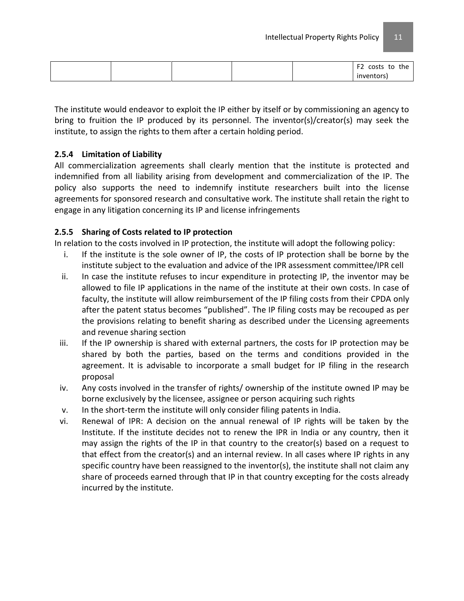|  |  | $\mathbf{r}$<br>costs to<br>the<br>- |
|--|--|--------------------------------------|
|  |  | <i>inventors</i>                     |

The institute would endeavor to exploit the IP either by itself or by commissioning an agency to bring to fruition the IP produced by its personnel. The inventor(s)/creator(s) may seek the institute, to assign the rights to them after a certain holding period.

# **2.5.4 Limitation of Liability**

All commercialization agreements shall clearly mention that the institute is protected and indemnified from all liability arising from development and commercialization of the IP. The policy also supports the need to indemnify institute researchers built into the license agreements for sponsored research and consultative work. The institute shall retain the right to engage in any litigation concerning its IP and license infringements

# **2.5.5 Sharing of Costs related to IP protection**

In relation to the costs involved in IP protection, the institute will adopt the following policy:

- i. If the institute is the sole owner of IP, the costs of IP protection shall be borne by the institute subject to the evaluation and advice of the IPR assessment committee/IPR cell
- ii. In case the institute refuses to incur expenditure in protecting IP, the inventor may be allowed to file IP applications in the name of the institute at their own costs. In case of faculty, the institute will allow reimbursement of the IP filing costs from their CPDA only after the patent status becomes "published". The IP filing costs may be recouped as per the provisions relating to benefit sharing as described under the Licensing agreements and revenue sharing section
- iii. If the IP ownership is shared with external partners, the costs for IP protection may be shared by both the parties, based on the terms and conditions provided in the agreement. It is advisable to incorporate a small budget for IP filing in the research proposal
- iv. Any costs involved in the transfer of rights/ ownership of the institute owned IP may be borne exclusively by the licensee, assignee or person acquiring such rights
- v. In the short-term the institute will only consider filing patents in India.
- vi. Renewal of IPR: A decision on the annual renewal of IP rights will be taken by the Institute. If the institute decides not to renew the IPR in India or any country, then it may assign the rights of the IP in that country to the creator(s) based on a request to that effect from the creator(s) and an internal review. In all cases where IP rights in any specific country have been reassigned to the inventor(s), the institute shall not claim any share of proceeds earned through that IP in that country excepting for the costs already incurred by the institute.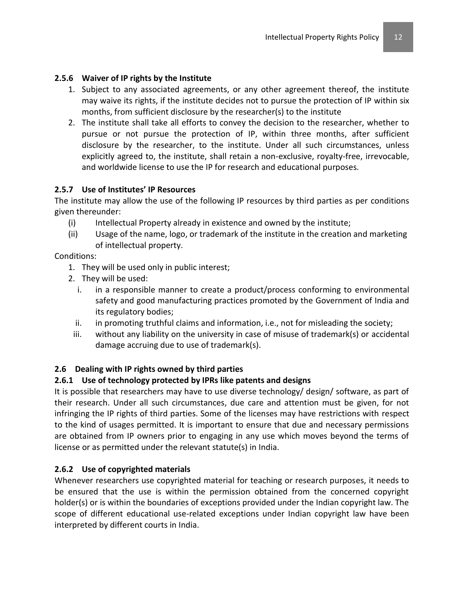### **2.5.6 Waiver of IP rights by the Institute**

- 1. Subject to any associated agreements, or any other agreement thereof, the institute may waive its rights, if the institute decides not to pursue the protection of IP within six months, from sufficient disclosure by the researcher(s) to the institute
- 2. The institute shall take all efforts to convey the decision to the researcher, whether to pursue or not pursue the protection of IP, within three months, after sufficient disclosure by the researcher, to the institute. Under all such circumstances, unless explicitly agreed to, the institute, shall retain a non-exclusive, royalty-free, irrevocable, and worldwide license to use the IP for research and educational purposes.

#### **2.5.7 Use of Institutes' IP Resources**

The institute may allow the use of the following IP resources by third parties as per conditions given thereunder:

- (i) Intellectual Property already in existence and owned by the institute;
- (ii) Usage of the name, logo, or trademark of the institute in the creation and marketing of intellectual property.

Conditions:

- 1. They will be used only in public interest;
- 2. They will be used:
	- i. in a responsible manner to create a product/process conforming to environmental safety and good manufacturing practices promoted by the Government of India and its regulatory bodies;
	- ii. in promoting truthful claims and information, i.e., not for misleading the society;
- iii. without any liability on the university in case of misuse of trademark(s) or accidental damage accruing due to use of trademark(s).

# **2.6 Dealing with IP rights owned by third parties**

#### **2.6.1 Use of technology protected by IPRs like patents and designs**

It is possible that researchers may have to use diverse technology/ design/ software, as part of their research. Under all such circumstances, due care and attention must be given, for not infringing the IP rights of third parties. Some of the licenses may have restrictions with respect to the kind of usages permitted. It is important to ensure that due and necessary permissions are obtained from IP owners prior to engaging in any use which moves beyond the terms of license or as permitted under the relevant statute(s) in India.

#### **2.6.2 Use of copyrighted materials**

Whenever researchers use copyrighted material for teaching or research purposes, it needs to be ensured that the use is within the permission obtained from the concerned copyright holder(s) or is within the boundaries of exceptions provided under the Indian copyright law. The scope of different educational use-related exceptions under Indian copyright law have been interpreted by different courts in India.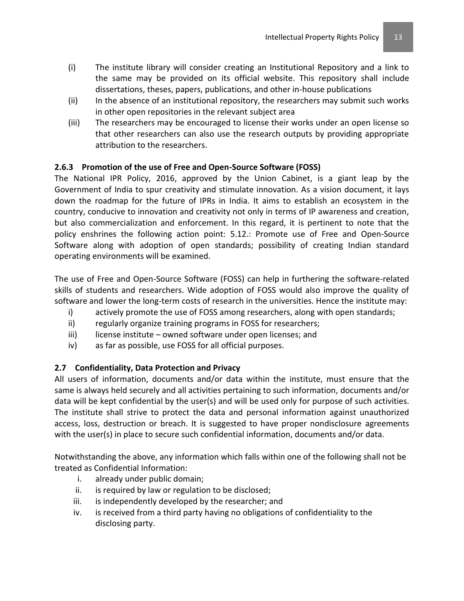- (i) The institute library will consider creating an Institutional Repository and a link to the same may be provided on its official website. This repository shall include dissertations, theses, papers, publications, and other in-house publications
- (ii) In the absence of an institutional repository, the researchers may submit such works in other open repositories in the relevant subject area
- (iii) The researchers may be encouraged to license their works under an open license so that other researchers can also use the research outputs by providing appropriate attribution to the researchers.

# **2.6.3 Promotion of the use of Free and Open-Source Software (FOSS)**

The National IPR Policy, 2016, approved by the Union Cabinet, is a giant leap by the Government of India to spur creativity and stimulate innovation. As a vision document, it lays down the roadmap for the future of IPRs in India. It aims to establish an ecosystem in the country, conducive to innovation and creativity not only in terms of IP awareness and creation, but also commercialization and enforcement. In this regard, it is pertinent to note that the policy enshrines the following action point: 5.12.: Promote use of Free and Open-Source Software along with adoption of open standards; possibility of creating Indian standard operating environments will be examined.

The use of Free and Open-Source Software (FOSS) can help in furthering the software-related skills of students and researchers. Wide adoption of FOSS would also improve the quality of software and lower the long-term costs of research in the universities. Hence the institute may:

- i) actively promote the use of FOSS among researchers, along with open standards;
- ii) regularly organize training programs in FOSS for researchers;
- $\text{ii)}$  license institute owned software under open licenses; and
- iv) as far as possible, use FOSS for all official purposes.

# **2.7 Confidentiality, Data Protection and Privacy**

All users of information, documents and/or data within the institute, must ensure that the same is always held securely and all activities pertaining to such information, documents and/or data will be kept confidential by the user(s) and will be used only for purpose of such activities. The institute shall strive to protect the data and personal information against unauthorized access, loss, destruction or breach. It is suggested to have proper nondisclosure agreements with the user(s) in place to secure such confidential information, documents and/or data.

Notwithstanding the above, any information which falls within one of the following shall not be treated as Confidential Information:

- i. already under public domain;
- ii. is required by law or regulation to be disclosed;
- iii. is independently developed by the researcher; and
- iv. is received from a third party having no obligations of confidentiality to the disclosing party.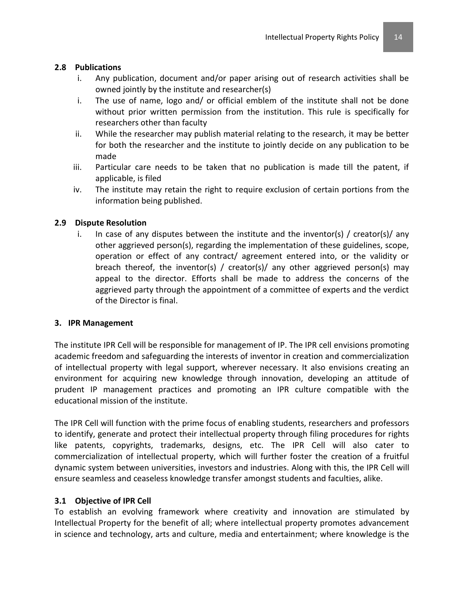#### **2.8 Publications**

- i. Any publication, document and/or paper arising out of research activities shall be owned jointly by the institute and researcher(s)
- i. The use of name, logo and/ or official emblem of the institute shall not be done without prior written permission from the institution. This rule is specifically for researchers other than faculty
- ii. While the researcher may publish material relating to the research, it may be better for both the researcher and the institute to jointly decide on any publication to be made
- iii. Particular care needs to be taken that no publication is made till the patent, if applicable, is filed
- iv. The institute may retain the right to require exclusion of certain portions from the information being published.

### **2.9 Dispute Resolution**

i. In case of any disputes between the institute and the inventor(s) / creator(s)/ any other aggrieved person(s), regarding the implementation of these guidelines, scope, operation or effect of any contract/ agreement entered into, or the validity or breach thereof, the inventor(s) / creator(s)/ any other aggrieved person(s) may appeal to the director. Efforts shall be made to address the concerns of the aggrieved party through the appointment of a committee of experts and the verdict of the Director is final.

#### **3. IPR Management**

The institute IPR Cell will be responsible for management of IP. The IPR cell envisions promoting academic freedom and safeguarding the interests of inventor in creation and commercialization of intellectual property with legal support, wherever necessary. It also envisions creating an environment for acquiring new knowledge through innovation, developing an attitude of prudent IP management practices and promoting an IPR culture compatible with the educational mission of the institute.

The IPR Cell will function with the prime focus of enabling students, researchers and professors to identify, generate and protect their intellectual property through filing procedures for rights like patents, copyrights, trademarks, designs, etc. The IPR Cell will also cater to commercialization of intellectual property, which will further foster the creation of a fruitful dynamic system between universities, investors and industries. Along with this, the IPR Cell will ensure seamless and ceaseless knowledge transfer amongst students and faculties, alike.

#### **3.1 Objective of IPR Cell**

To establish an evolving framework where creativity and innovation are stimulated by Intellectual Property for the benefit of all; where intellectual property promotes advancement in science and technology, arts and culture, media and entertainment; where knowledge is the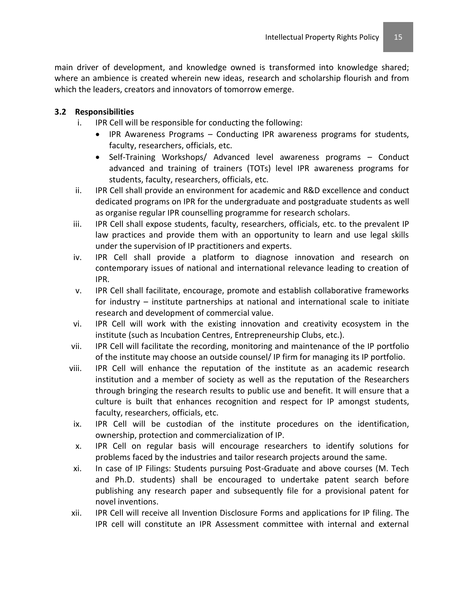main driver of development, and knowledge owned is transformed into knowledge shared; where an ambience is created wherein new ideas, research and scholarship flourish and from which the leaders, creators and innovators of tomorrow emerge.

# **3.2 Responsibilities**

- i. IPR Cell will be responsible for conducting the following:
	- IPR Awareness Programs Conducting IPR awareness programs for students, faculty, researchers, officials, etc.
	- Self-Training Workshops/ Advanced level awareness programs Conduct advanced and training of trainers (TOTs) level IPR awareness programs for students, faculty, researchers, officials, etc.
- ii. IPR Cell shall provide an environment for academic and R&D excellence and conduct dedicated programs on IPR for the undergraduate and postgraduate students as well as organise regular IPR counselling programme for research scholars.
- iii. IPR Cell shall expose students, faculty, researchers, officials, etc. to the prevalent IP law practices and provide them with an opportunity to learn and use legal skills under the supervision of IP practitioners and experts.
- iv. IPR Cell shall provide a platform to diagnose innovation and research on contemporary issues of national and international relevance leading to creation of IPR.
- v. IPR Cell shall facilitate, encourage, promote and establish collaborative frameworks for industry – institute partnerships at national and international scale to initiate research and development of commercial value.
- vi. IPR Cell will work with the existing innovation and creativity ecosystem in the institute (such as Incubation Centres, Entrepreneurship Clubs, etc.).
- vii. IPR Cell will facilitate the recording, monitoring and maintenance of the IP portfolio of the institute may choose an outside counsel/ IP firm for managing its IP portfolio.
- viii. IPR Cell will enhance the reputation of the institute as an academic research institution and a member of society as well as the reputation of the Researchers through bringing the research results to public use and benefit. It will ensure that a culture is built that enhances recognition and respect for IP amongst students, faculty, researchers, officials, etc.
- ix. IPR Cell will be custodian of the institute procedures on the identification, ownership, protection and commercialization of IP.
- x. IPR Cell on regular basis will encourage researchers to identify solutions for problems faced by the industries and tailor research projects around the same.
- xi. In case of IP Filings: Students pursuing Post-Graduate and above courses (M. Tech and Ph.D. students) shall be encouraged to undertake patent search before publishing any research paper and subsequently file for a provisional patent for novel inventions.
- xii. IPR Cell will receive all Invention Disclosure Forms and applications for IP filing. The IPR cell will constitute an IPR Assessment committee with internal and external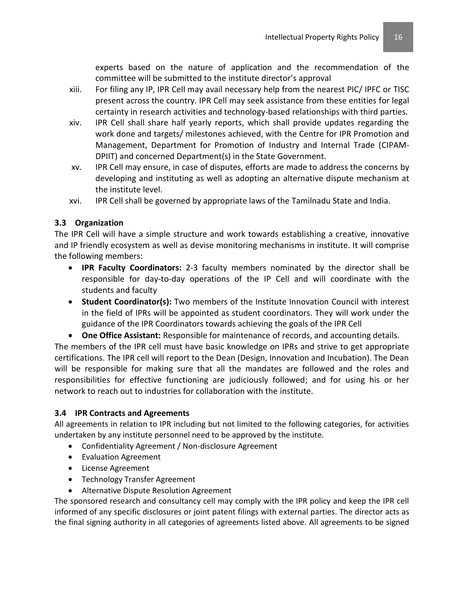experts based on the nature of application and the recommendation of the committee will be submitted to the institute director's approval

- xiii. For filing any IP, IPR Cell may avail necessary help from the nearest PIC/ IPFC or TISC present across the country. IPR Cell may seek assistance from these entities for legal certainty in research activities and technology-based relationships with third parties.
- xiv. IPR Cell shall share half yearly reports, which shall provide updates regarding the work done and targets/ milestones achieved, with the Centre for IPR Promotion and Management, Department for Promotion of Industry and Internal Trade (CIPAM-DPIIT) and concerned Department(s) in the State Government.
- xv. IPR Cell may ensure, in case of disputes, efforts are made to address the concerns by developing and instituting as well as adopting an alternative dispute mechanism at the institute level.
- xvi. IPR Cell shall be governed by appropriate laws of the Tamilnadu State and India.

# **3.3 Organization**

The IPR Cell will have a simple structure and work towards establishing a creative, innovative and IP friendly ecosystem as well as devise monitoring mechanisms in institute. It will comprise the following members:

- **IPR Faculty Coordinators:** 2-3 faculty members nominated by the director shall be responsible for day-to-day operations of the IP Cell and will coordinate with the students and faculty
- **Student Coordinator(s):** Two members of the Institute Innovation Council with interest in the field of IPRs will be appointed as student coordinators. They will work under the guidance of the IPR Coordinators towards achieving the goals of the IPR Cell
- **One Office Assistant:** Responsible for maintenance of records, and accounting details.

The members of the IPR cell must have basic knowledge on IPRs and strive to get appropriate certifications. The IPR cell will report to the Dean (Design, Innovation and Incubation). The Dean will be responsible for making sure that all the mandates are followed and the roles and responsibilities for effective functioning are judiciously followed; and for using his or her network to reach out to industries for collaboration with the institute.

#### **3.4 IPR Contracts and Agreements**

All agreements in relation to IPR including but not limited to the following categories, for activities undertaken by any institute personnel need to be approved by the institute.

- Confidentiality Agreement / Non-disclosure Agreement
- Evaluation Agreement
- License Agreement
- Technology Transfer Agreement
- Alternative Dispute Resolution Agreement

The sponsored research and consultancy cell may comply with the IPR policy and keep the IPR cell informed of any specific disclosures or joint patent filings with external parties. The director acts as the final signing authority in all categories of agreements listed above. All agreements to be signed